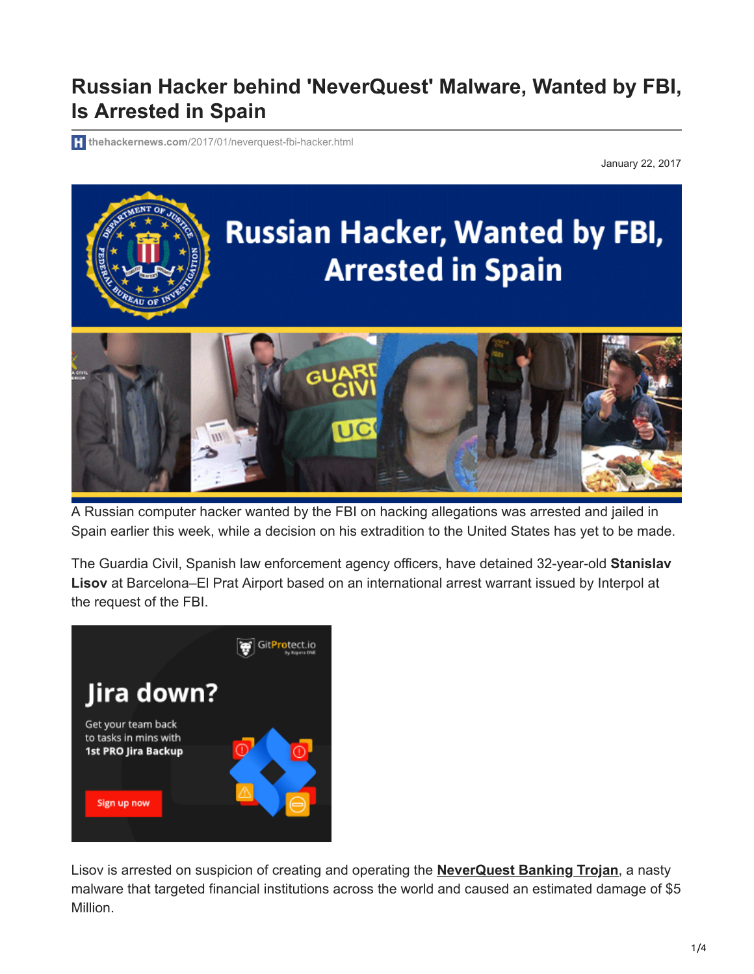## **Russian Hacker behind 'NeverQuest' Malware, Wanted by FBI, Is Arrested in Spain**

**thehackernews.com**[/2017/01/neverquest-fbi-hacker.html](http://thehackernews.com/2017/01/neverquest-fbi-hacker.html)

January 22, 2017



A Russian computer hacker wanted by the FBI on hacking allegations was arrested and jailed in Spain earlier this week, while a decision on his extradition to the United States has yet to be made.

The Guardia Civil, Spanish law enforcement agency officers, have detained 32-year-old **Stanislav Lisov** at Barcelona–El Prat Airport based on an international arrest warrant issued by Interpol at the request of the FBI.



Lisov is arrested on suspicion of creating and operating the **[NeverQuest Banking Trojan](https://thehackernews.com/2015/03/vawtrak-banking-trojan.html)**, a nasty malware that targeted financial institutions across the world and caused an estimated damage of \$5 Million.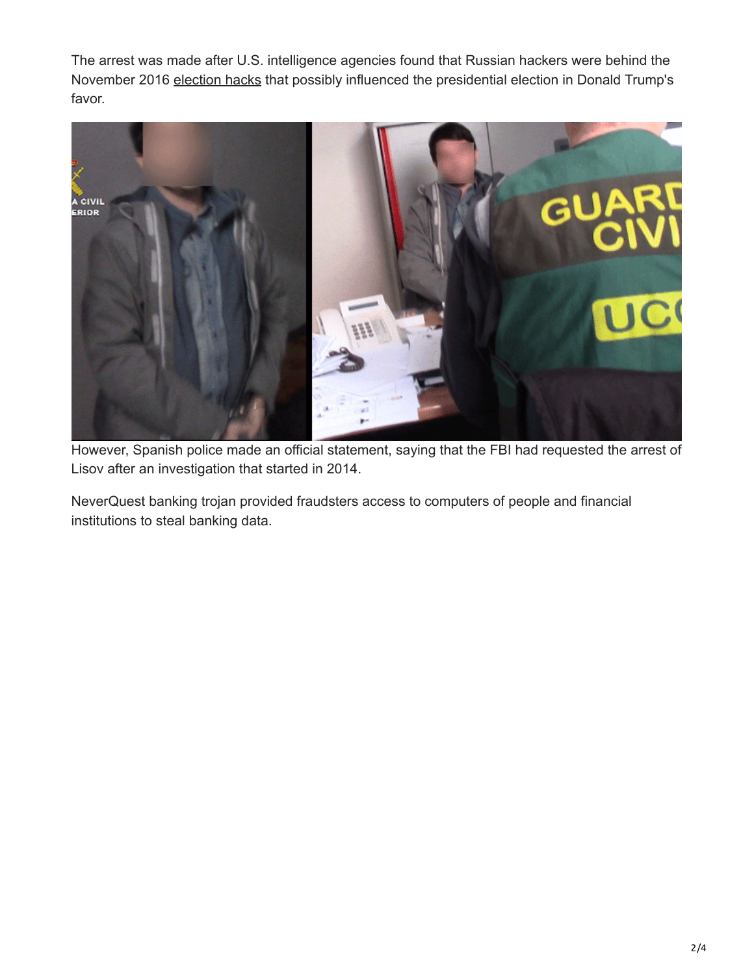The arrest was made after U.S. intelligence agencies found that Russian hackers were behind the November 2016 [election hacks](https://thehackernews.com/2016/12/russian-hacker-us-election.html) that possibly influenced the presidential election in Donald Trump's favor.



However, Spanish police made an official statement, saying that the FBI had requested the arrest of Lisov after an investigation that started in 2014.

NeverQuest banking trojan provided fraudsters access to computers of people and financial institutions to steal banking data.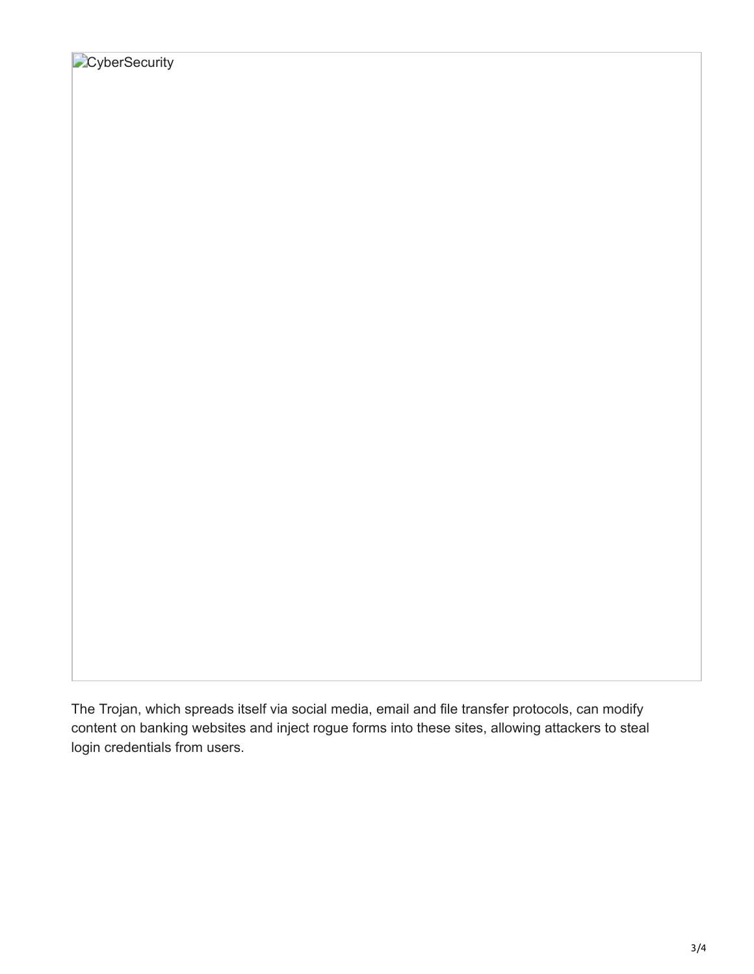The Trojan, which spreads itself via social media, email and file transfer protocols, can modify content on banking websites and inject rogue forms into these sites, allowing attackers to steal login credentials from users.